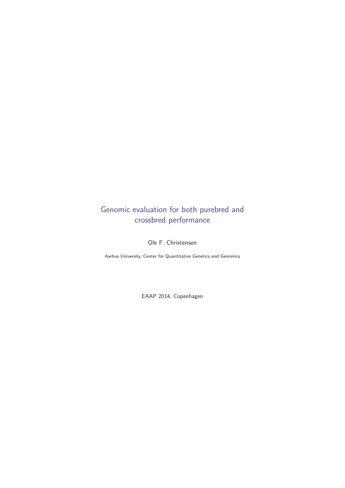## Genomic evaluation for both purebred and crossbred performance

Ole F. Christensen

Aarhus University, Center for Quantitative Genetics and Genomics

EAAP 2014, Copenhagen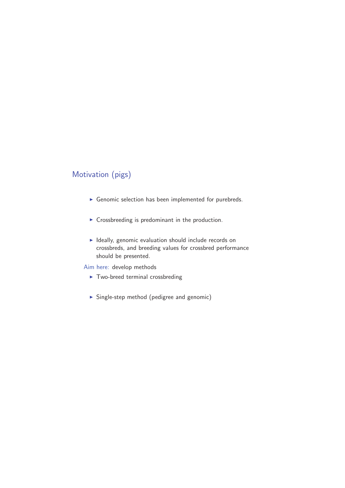## Motivation (pigs)

- Genomic selection has been implemented for purebreds.
- **EX Crossbreeding is predominant in the production.**
- Ideally, genomic evaluation should include records on crossbreds, and breeding values for crossbred performance should be presented.

Aim here: develop methods

- Two-breed terminal crossbreding
- Single-step method (pedigree and genomic)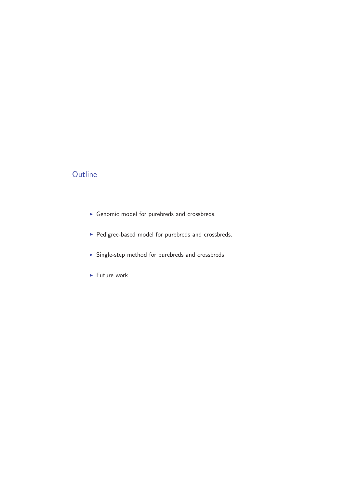#### **Outline**

- Genomic model for purebreds and crossbreds.
- Pedigree-based model for purebreds and crossbreds.
- Single-step method for purebreds and crossbreds
- **Future work**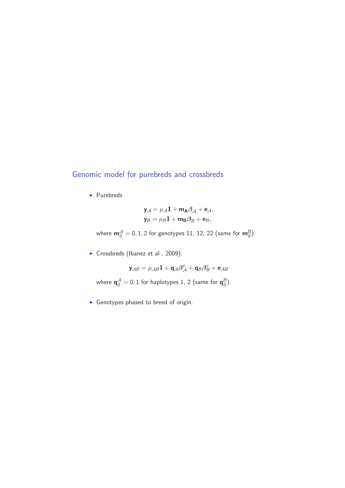#### Genomic model for purebreds and crossbreds

• Purebreds

$$
\mathbf{y}_{A} = \mu_{A} \mathbf{1} + \mathbf{m}_{A} \beta_{A} + \mathbf{e}_{A},
$$

$$
\mathbf{y}_{B} = \mu_{B} \mathbf{1} + \mathbf{m}_{B} \beta_{B} + \mathbf{e}_{B},
$$

where  $\mathbf{m}_{ij}^{\mathcal{A}} = 0, 1, 2$  for genotypes 11, 12, 22 (same for  $\mathbf{m}_{ij}^{\mathcal{B}}$ ).

► Crossbreds (Ibanez et al, 2009):

$$
\mathbf{y}_{\mathcal{A}\mathcal{B}} = \mu_{\mathcal{A}\mathcal{B}} \mathbf{1} + \mathbf{q}_{\mathcal{A}} \boldsymbol{\beta}_{\mathcal{A}}^c + \mathbf{q}_{\mathcal{B}} \boldsymbol{\beta}_{\mathcal{B}}^c + \mathbf{e}_{\mathcal{A}\mathcal{B}}
$$

where  $\mathbf{q}_{ij}^{\mathcal{A}} = 0, 1$  for haplotypes 1, 2 (same for  $\mathbf{q}_{ij}^{\mathcal{B}}$ ).

- Genotypes phased to breed of origin.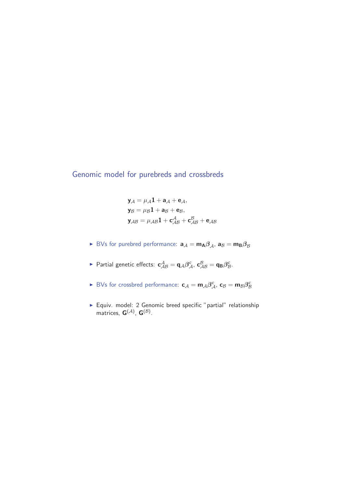Genomic model for purebreds and crossbreds

$$
\mathbf{y}_{A} = \mu_{A}\mathbf{1} + \mathbf{a}_{A} + \mathbf{e}_{A},
$$
  
\n
$$
\mathbf{y}_{B} = \mu_{B}\mathbf{1} + \mathbf{a}_{B} + \mathbf{e}_{B},
$$
  
\n
$$
\mathbf{y}_{AB} = \mu_{AB}\mathbf{1} + \mathbf{c}_{AB}^{A} + \mathbf{c}_{AB}^{B} + \mathbf{e}_{AB}
$$

- $\blacktriangleright$  BVs for purebred performance:  $\mathbf{a}_{\mathcal{A}} = \mathbf{m}_{\mathbf{A}} \beta_{\mathcal{A}}$ ,  $\mathbf{a}_{\mathcal{B}} = \mathbf{m}_{\mathbf{B}} \beta_{\mathcal{B}}$
- ► Partial genetic effects:  $\mathbf{c}_{AB}^{\mathcal{A}} = \mathbf{q}_{A}\beta_{A}^{\mathcal{C}}, \mathbf{c}_{AB}^{\mathcal{B}} = \mathbf{q}_{B}\beta_{B}^{\mathcal{C}}.$
- ► BVs for crossbred performance:  $\mathbf{c}_{\mathcal{A}} = \mathbf{m}_{\mathcal{A}} \beta_{\mathcal{A}}^c$ ,  $\mathbf{c}_{\mathcal{B}} = \mathbf{m}_{\mathcal{B}} \beta_{\mathcal{B}}^c$
- Equiv. model: 2 Genomic breed specific "partial" relationship matrices,  $G^{(\mathcal{A})}$ ,  $G^{(\mathcal{B})}$ .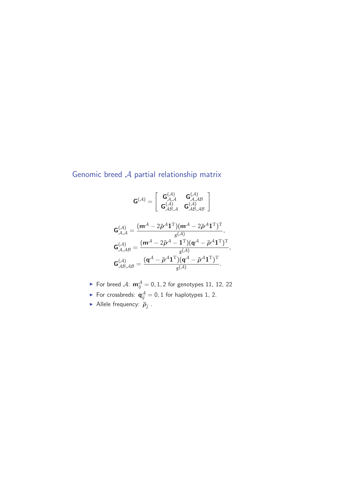#### Genomic breed A partial relationship matrix



- For breed  $A: \mathbf{m}_{ij}^A = 0, 1, 2$  for genotypes 11, 12, 22
- For crossbreds:  $\mathbf{q}_{ij}^{\mathcal{A}} = 0, 1$  for haplotypes 1, 2.
- ► Allele frequency:  $\bar{p}_j$ .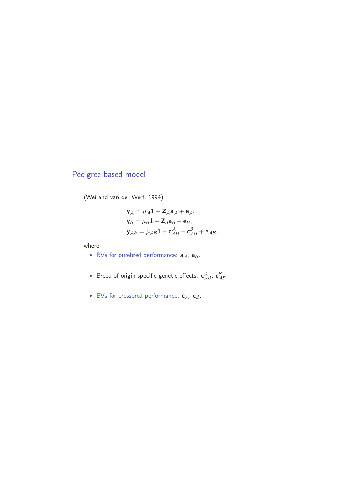## Pedigree-based model

(Wei and van der Werf, 1994)

$$
\mathbf{y}_{A} = \mu_{A}\mathbf{1} + \mathbf{Z}_{A}\mathbf{a}_{A} + \mathbf{e}_{A},
$$
  
\n
$$
\mathbf{y}_{B} = \mu_{B}\mathbf{1} + \mathbf{Z}_{B}\mathbf{a}_{B} + \mathbf{e}_{B},
$$
  
\n
$$
\mathbf{y}_{AB} = \mu_{AB}\mathbf{1} + \mathbf{c}_{AB}^{A} + \mathbf{c}_{AB}^{B} + \mathbf{e}_{AB},
$$

where

- $\blacktriangleright$  BVs for purebred performance:  $\mathbf{a}_{\mathcal{A}}$ ,  $\mathbf{a}_{\mathcal{B}}$ .
- $\blacktriangleright$  Breed of origin specific genetic effects:  $\mathbf{c}_{AB}^A$ ,  $\mathbf{c}_{AB}^B$ ,
- ► BVs for crossbred performance: **c**<sub>A</sub>, **c**<sub>B</sub>.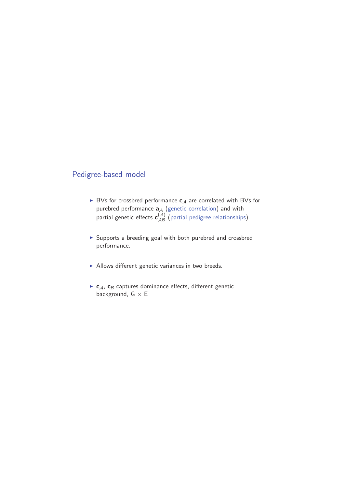#### Pedigree-based model

- ► BVs for crossbred performance **c**<sub>A</sub> are correlated with BVs for purebred performance  $\mathbf{a}_{\mathcal{A}}$  (genetic correlation) and with partial genetic effects  $\mathbf{c}_{AB}^{(A)}$  (partial pedigree relationships).
- Supports a breeding goal with both purebred and crossbred performance.
- Allows different genetic variances in two breeds.
- ► **c**<sub>A</sub>, **c**<sub>B</sub> captures dominance effects, different genetic background,  $G \times E$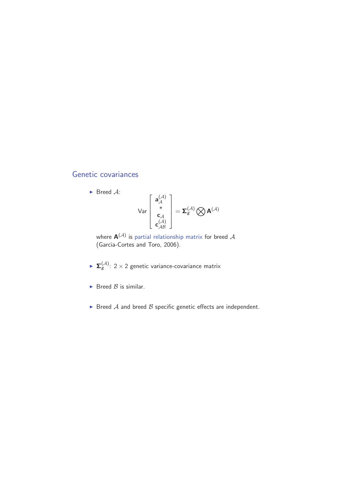#### Genetic covariances

 $\blacktriangleright$  Breed A:

$$
\text{Var}\left[\begin{array}{c} \mathbf{a}_{\mathcal{A}}^{(\mathcal{A})} \\ \star \\ \mathbf{c}_{\mathcal{A}} \\ \mathbf{c}_{\mathcal{A}\mathcal{B}}^{(\mathcal{A})} \end{array}\right] = \mathbf{\Sigma}_{\mathcal{B}}^{(\mathcal{A})} \bigotimes \mathbf{A}^{(\mathcal{A})}
$$

where  $\mathbf{A}^{(\mathcal{A})}$  is partial relationship matrix for breed  $\mathcal{A}$ (Garcia-Cortes and Toro, 2006).

- $\blacktriangleright$   $\mathbf{\Sigma}_{g}^{(\mathcal{A})}$ : 2 × 2 genetic variance-covariance matrix
- $\blacktriangleright$  Breed  $\beta$  is similar.
- $\blacktriangleright$  Breed  $\mathcal A$  and breed  $\mathcal B$  specific genetic effects are independent.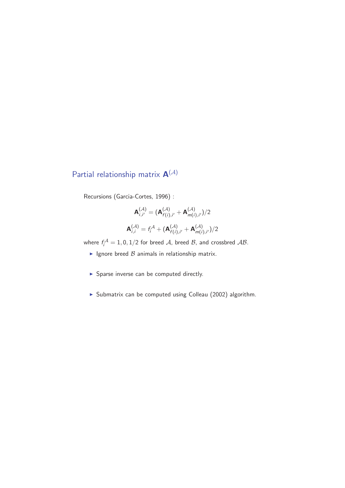# Partial relationship matrix **A**(A)

Recursions (Garcia-Cortes, 1996) :

$$
\mathbf{A}_{i,i'}^{(\mathcal{A})} = (\mathbf{A}_{f(i),i'}^{(\mathcal{A})} + \mathbf{A}_{m(i),i'}^{(\mathcal{A})})/2
$$

$$
\mathbf{A}_{i,i}^{(\mathcal{A})} = f_i^{\mathcal{A}} + (\mathbf{A}_{f(i),i'}^{(\mathcal{A})} + \mathbf{A}_{m(i),i'}^{(\mathcal{A})})/2
$$

where  $f_i^{\mathcal{A}} = 1, 0, 1/2$  for breed  $\mathcal{A}$ , breed  $\mathcal{B}$ , and crossbred  $\mathcal{A}\mathcal{B}$ .

- $\blacktriangleright$  Ignore breed  ${\mathcal{B}}$  animals in relationship matrix.
- Sparse inverse can be computed directly.
- Submatrix can be computed using Colleau (2002) algorithm.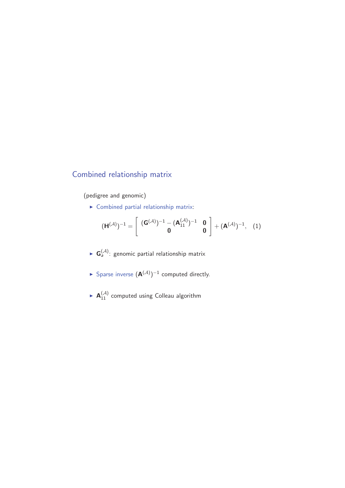### Combined relationship matrix

(pedigree and genomic)

- Combined partial relationship matrix:

$$
(\mathbf{H}^{(\mathcal{A})})^{-1} = \left[ \begin{array}{cc} (\mathbf{G}^{(\mathcal{A})})^{-1} - (\mathbf{A}_{11}^{(\mathcal{A})})^{-1} & \mathbf{0} \\ \mathbf{0} & \mathbf{0} \end{array} \right] + (\mathbf{A}^{(\mathcal{A})})^{-1}, (1)
$$

- $\blacktriangleright$   $\mathbf{G}_{a}^{(\mathcal{A})}$ : genomic partial relationship matrix
- ► Sparse inverse  $(A^{(\mathcal{A})})^{-1}$  computed directly.
- $\blacktriangleright$  **A** $_{11}^{(\mathcal{A})}$  computed using Colleau algorithm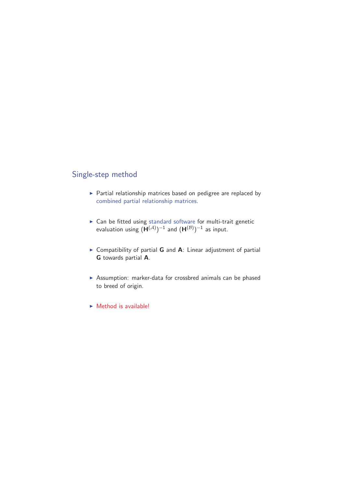#### Single-step method

- **>** Partial relationship matrices based on pedigree are replaced by combined partial relationship matrices.
- ► Can be fitted using standard software for multi-trait genetic evaluation using  $(\mathbf{H}^{(\mathcal{A})})^{-1}$  and  $(\mathbf{H}^{(\mathcal{B})})^{-1}$  as input.
- ▶ Compatibility of partial **G** and **A**: Linear adjustment of partial **G** towards partial **A**.
- Assumption: marker-data for crossbred animals can be phased to breed of origin.
- Method is available!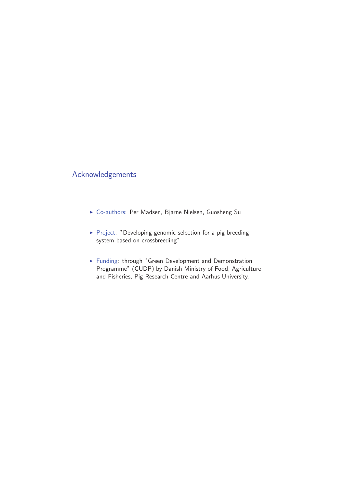#### Acknowledgements

- Co-authors: Per Madsen, Bjarne Nielsen, Guosheng Su
- **•** Project: "Developing genomic selection for a pig breeding system based on crossbreeding"
- Funding: through "Green Development and Demonstration Programme" (GUDP) by Danish Ministry of Food, Agriculture and Fisheries, Pig Research Centre and Aarhus University.